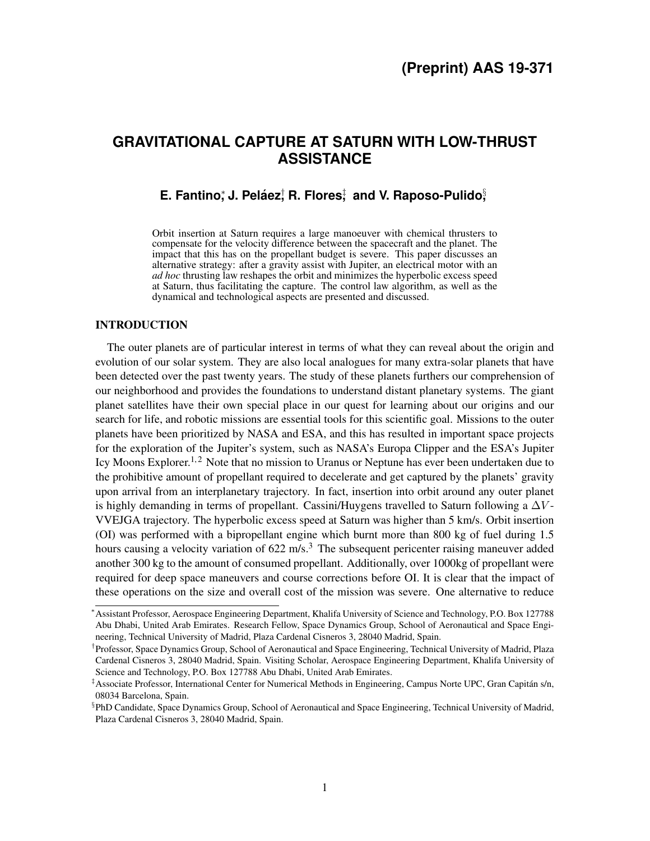# **GRAVITATIONAL CAPTURE AT SATURN WITH LOW-THRUST ASSISTANCE**

## **E. Fantino**; J. Peláez; R. Flores; and V. Raposo-Pulido in

Orbit insertion at Saturn requires a large manoeuver with chemical thrusters to compensate for the velocity difference between the spacecraft and the planet. The impact that this has on the propellant budget is severe. This paper discusses an alternative strategy: after a gravity assist with Jupiter, an electrical motor with an *ad hoc* thrusting law reshapes the orbit and minimizes the hyperbolic excess speed at Saturn, thus facilitating the capture. The control law algorithm, as well as the dynamical and technological aspects are presented and discussed.

## INTRODUCTION

The outer planets are of particular interest in terms of what they can reveal about the origin and evolution of our solar system. They are also local analogues for many extra-solar planets that have been detected over the past twenty years. The study of these planets furthers our comprehension of our neighborhood and provides the foundations to understand distant planetary systems. The giant planet satellites have their own special place in our quest for learning about our origins and our search for life, and robotic missions are essential tools for this scientific goal. Missions to the outer planets have been prioritized by NASA and ESA, and this has resulted in important space projects for the exploration of the Jupiter's system, such as NASA's Europa Clipper and the ESA's Jupiter Icy Moons Explorer.<sup>[1,](#page-9-0) [2](#page-9-1)</sup> Note that no mission to Uranus or Neptune has ever been undertaken due to the prohibitive amount of propellant required to decelerate and get captured by the planets' gravity upon arrival from an interplanetary trajectory. In fact, insertion into orbit around any outer planet is highly demanding in terms of propellant. Cassini/Huygens travelled to Saturn following a  $\Delta V$ -VVEJGA trajectory. The hyperbolic excess speed at Saturn was higher than 5 km/s. Orbit insertion (OI) was performed with a bipropellant engine which burnt more than 800 kg of fuel during 1.5 hours causing a velocity variation of  $622 \text{ m/s}^3$  $622 \text{ m/s}^3$ . The subsequent pericenter raising maneuver added another 300 kg to the amount of consumed propellant. Additionally, over 1000kg of propellant were required for deep space maneuvers and course corrections before OI. It is clear that the impact of these operations on the size and overall cost of the mission was severe. One alternative to reduce

<sup>∗</sup>Assistant Professor, Aerospace Engineering Department, Khalifa University of Science and Technology, P.O. Box 127788 Abu Dhabi, United Arab Emirates. Research Fellow, Space Dynamics Group, School of Aeronautical and Space Engineering, Technical University of Madrid, Plaza Cardenal Cisneros 3, 28040 Madrid, Spain.

<sup>†</sup> Professor, Space Dynamics Group, School of Aeronautical and Space Engineering, Technical University of Madrid, Plaza Cardenal Cisneros 3, 28040 Madrid, Spain. Visiting Scholar, Aerospace Engineering Department, Khalifa University of Science and Technology, P.O. Box 127788 Abu Dhabi, United Arab Emirates.

<sup>‡</sup>Associate Professor, International Center for Numerical Methods in Engineering, Campus Norte UPC, Gran Capitan s/n, ´ 08034 Barcelona, Spain.

<sup>§</sup> PhD Candidate, Space Dynamics Group, School of Aeronautical and Space Engineering, Technical University of Madrid, Plaza Cardenal Cisneros 3, 28040 Madrid, Spain.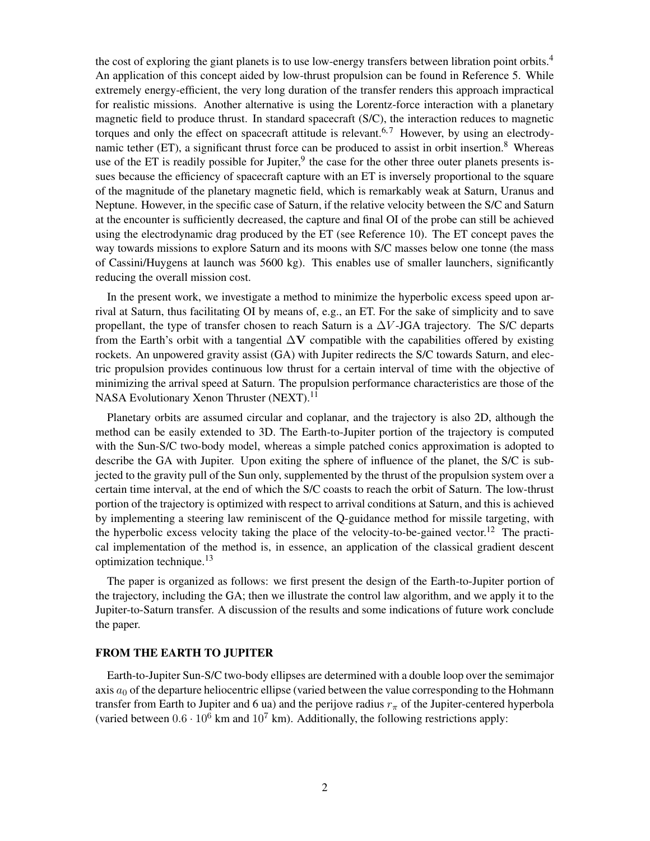the cost of exploring the giant planets is to use low-energy transfers between libration point orbits.[4](#page-9-3) An application of this concept aided by low-thrust propulsion can be found in Reference [5.](#page-9-4) While extremely energy-efficient, the very long duration of the transfer renders this approach impractical for realistic missions. Another alternative is using the Lorentz-force interaction with a planetary magnetic field to produce thrust. In standard spacecraft (S/C), the interaction reduces to magnetic torques and only the effect on spacecraft attitude is relevant.<sup>[6,](#page-9-5)[7](#page-9-6)</sup> However, by using an electrodynamic tether  $(ET)$ , a significant thrust force can be produced to assist in orbit insertion.<sup>[8](#page-9-7)</sup> Whereas use of the ET is readily possible for Jupiter,<sup>[9](#page-9-8)</sup> the case for the other three outer planets presents issues because the efficiency of spacecraft capture with an ET is inversely proportional to the square of the magnitude of the planetary magnetic field, which is remarkably weak at Saturn, Uranus and Neptune. However, in the specific case of Saturn, if the relative velocity between the S/C and Saturn at the encounter is sufficiently decreased, the capture and final OI of the probe can still be achieved using the electrodynamic drag produced by the ET (see Reference [10\)](#page-9-9). The ET concept paves the way towards missions to explore Saturn and its moons with S/C masses below one tonne (the mass of Cassini/Huygens at launch was 5600 kg). This enables use of smaller launchers, significantly reducing the overall mission cost.

In the present work, we investigate a method to minimize the hyperbolic excess speed upon arrival at Saturn, thus facilitating OI by means of, e.g., an ET. For the sake of simplicity and to save propellant, the type of transfer chosen to reach Saturn is a  $\Delta V$ -JGA trajectory. The S/C departs from the Earth's orbit with a tangential  $\Delta V$  compatible with the capabilities offered by existing rockets. An unpowered gravity assist (GA) with Jupiter redirects the S/C towards Saturn, and electric propulsion provides continuous low thrust for a certain interval of time with the objective of minimizing the arrival speed at Saturn. The propulsion performance characteristics are those of the NASA Evolutionary Xenon Thruster (NEXT).<sup>[11](#page-9-10)</sup>

Planetary orbits are assumed circular and coplanar, and the trajectory is also 2D, although the method can be easily extended to 3D. The Earth-to-Jupiter portion of the trajectory is computed with the Sun-S/C two-body model, whereas a simple patched conics approximation is adopted to describe the GA with Jupiter. Upon exiting the sphere of influence of the planet, the S/C is subjected to the gravity pull of the Sun only, supplemented by the thrust of the propulsion system over a certain time interval, at the end of which the S/C coasts to reach the orbit of Saturn. The low-thrust portion of the trajectory is optimized with respect to arrival conditions at Saturn, and this is achieved by implementing a steering law reminiscent of the Q-guidance method for missile targeting, with the hyperbolic excess velocity taking the place of the velocity-to-be-gained vector.[12](#page-9-11) The practical implementation of the method is, in essence, an application of the classical gradient descent optimization technique.[13](#page-9-12)

The paper is organized as follows: we first present the design of the Earth-to-Jupiter portion of the trajectory, including the GA; then we illustrate the control law algorithm, and we apply it to the Jupiter-to-Saturn transfer. A discussion of the results and some indications of future work conclude the paper.

#### FROM THE EARTH TO JUPITER

Earth-to-Jupiter Sun-S/C two-body ellipses are determined with a double loop over the semimajor axis  $a_0$  of the departure heliocentric ellipse (varied between the value corresponding to the Hohmann transfer from Earth to Jupiter and 6 ua) and the perijove radius  $r_{\pi}$  of the Jupiter-centered hyperbola (varied between  $0.6 \cdot 10^6$  km and  $10^7$  km). Additionally, the following restrictions apply: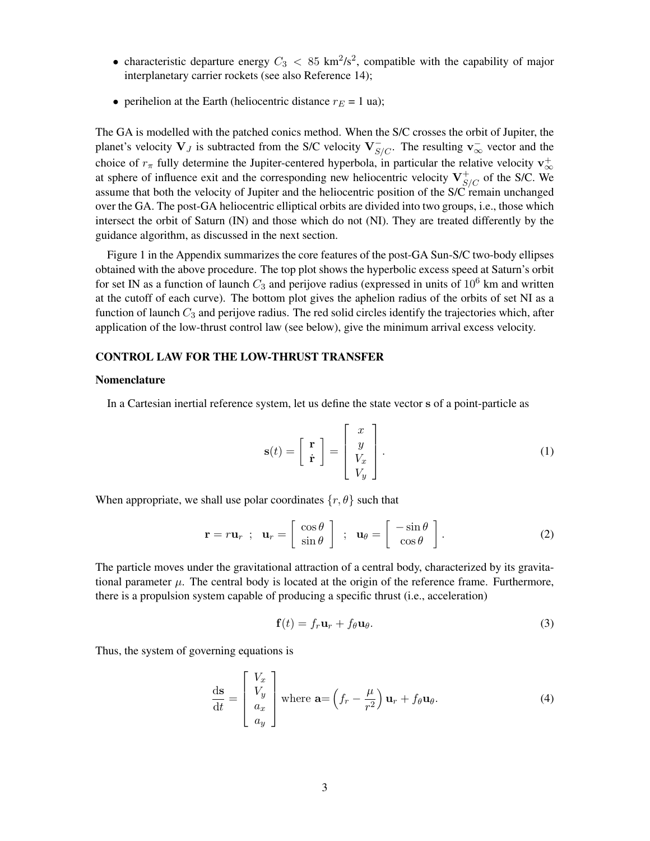- characteristic departure energy  $C_3 < 85 \text{ km}^2/\text{s}^2$ , compatible with the capability of major interplanetary carrier rockets (see also Reference [14\)](#page-9-13);
- perihelion at the Earth (heliocentric distance  $r_E = 1$  ua);

The GA is modelled with the patched conics method. When the S/C crosses the orbit of Jupiter, the planet's velocity  $V_J$  is subtracted from the S/C velocity  $V_{S/C}^-$ . The resulting  $v_{\infty}^-$  vector and the choice of  $r_{\pi}$  fully determine the Jupiter-centered hyperbola, in particular the relative velocity  $\mathbf{v}_{\infty}^+$ at sphere of influence exit and the corresponding new heliocentric velocity  $V_{S/C}^+$  of the S/C. We assume that both the velocity of Jupiter and the heliocentric position of the S/C remain unchanged over the GA. The post-GA heliocentric elliptical orbits are divided into two groups, i.e., those which intersect the orbit of Saturn (IN) and those which do not (NI). They are treated differently by the guidance algorithm, as discussed in the next section.

Figure [1](#page-10-0) in the Appendix summarizes the core features of the post-GA Sun-S/C two-body ellipses obtained with the above procedure. The top plot shows the hyperbolic excess speed at Saturn's orbit for set IN as a function of launch  $C_3$  and perijove radius (expressed in units of  $10^6$  km and written at the cutoff of each curve). The bottom plot gives the aphelion radius of the orbits of set NI as a function of launch  $C_3$  and perijove radius. The red solid circles identify the trajectories which, after application of the low-thrust control law (see below), give the minimum arrival excess velocity.

## CONTROL LAW FOR THE LOW-THRUST TRANSFER

## Nomenclature

In a Cartesian inertial reference system, let us define the state vector s of a point-particle as

$$
\mathbf{s}(t) = \begin{bmatrix} \mathbf{r} \\ \dot{\mathbf{r}} \end{bmatrix} = \begin{bmatrix} x \\ y \\ V_x \\ V_y \end{bmatrix}.
$$
 (1)

When appropriate, we shall use polar coordinates  $\{r, \theta\}$  such that

$$
\mathbf{r} = r\mathbf{u}_r \ ; \ \ \mathbf{u}_r = \left[ \begin{array}{c} \cos \theta \\ \sin \theta \end{array} \right] \ ; \ \ \mathbf{u}_\theta = \left[ \begin{array}{c} -\sin \theta \\ \cos \theta \end{array} \right]. \tag{2}
$$

The particle moves under the gravitational attraction of a central body, characterized by its gravitational parameter  $\mu$ . The central body is located at the origin of the reference frame. Furthermore, there is a propulsion system capable of producing a specific thrust (i.e., acceleration)

$$
\mathbf{f}(t) = f_r \mathbf{u}_r + f_\theta \mathbf{u}_\theta. \tag{3}
$$

Thus, the system of governing equations is

<span id="page-2-0"></span>
$$
\frac{\mathrm{d}\mathbf{s}}{\mathrm{d}t} = \begin{bmatrix} V_x \\ V_y \\ a_x \\ a_y \end{bmatrix} \text{ where } \mathbf{a} = \left(f_r - \frac{\mu}{r^2}\right) \mathbf{u}_r + f_\theta \mathbf{u}_\theta. \tag{4}
$$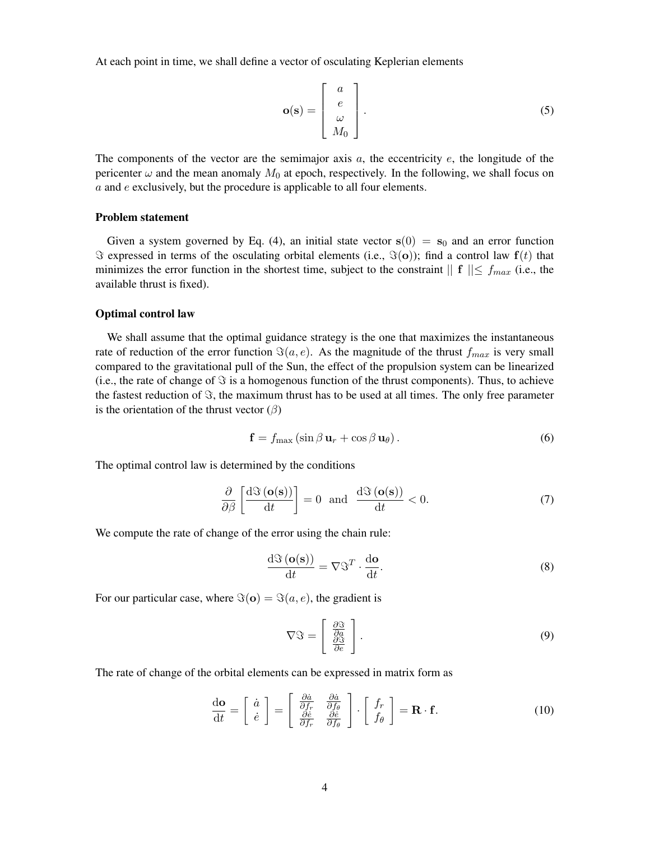At each point in time, we shall define a vector of osculating Keplerian elements

$$
\mathbf{o(s)} = \begin{bmatrix} a \\ e \\ \omega \\ M_0 \end{bmatrix} . \tag{5}
$$

The components of the vector are the semimajor axis  $a$ , the eccentricity  $e$ , the longitude of the pericenter  $\omega$  and the mean anomaly  $M_0$  at epoch, respectively. In the following, we shall focus on a and e exclusively, but the procedure is applicable to all four elements.

## Problem statement

Given a system governed by Eq. [\(4\)](#page-2-0), an initial state vector  $s(0) = s_0$  and an error function  $\Im$  expressed in terms of the osculating orbital elements (i.e.,  $\Im(\mathbf{o})$ ); find a control law  $\mathbf{f}(t)$  that minimizes the error function in the shortest time, subject to the constraint  $|| \mathbf{f} || \leq f_{max}$  (i.e., the available thrust is fixed).

#### Optimal control law

We shall assume that the optimal guidance strategy is the one that maximizes the instantaneous rate of reduction of the error function  $\Im(a, e)$ . As the magnitude of the thrust  $f_{max}$  is very small compared to the gravitational pull of the Sun, the effect of the propulsion system can be linearized (i.e., the rate of change of  $\Im$  is a homogenous function of the thrust components). Thus, to achieve the fastest reduction of  $\Im$ , the maximum thrust has to be used at all times. The only free parameter is the orientation of the thrust vector  $(\beta)$ 

<span id="page-3-0"></span>
$$
\mathbf{f} = f_{\text{max}} \left( \sin \beta \, \mathbf{u}_r + \cos \beta \, \mathbf{u}_\theta \right). \tag{6}
$$

The optimal control law is determined by the conditions

<span id="page-3-1"></span>
$$
\frac{\partial}{\partial \beta} \left[ \frac{\mathrm{d}\Im\left(\mathbf{o(s)}\right)}{\mathrm{d}t} \right] = 0 \quad \text{and} \quad \frac{\mathrm{d}\Im\left(\mathbf{o(s)}\right)}{\mathrm{d}t} < 0. \tag{7}
$$

We compute the rate of change of the error using the chain rule:

<span id="page-3-2"></span>
$$
\frac{\mathrm{d}\Im\left(\mathbf{o(s)}\right)}{\mathrm{d}t} = \nabla \Im^T \cdot \frac{\mathrm{d}\mathbf{o}}{\mathrm{d}t}.\tag{8}
$$

For our particular case, where  $\Im(\mathbf{o}) = \Im(a, e)$ , the gradient is

$$
\nabla \mathfrak{F} = \left[ \begin{array}{c} \frac{\partial \mathfrak{F}}{\partial a} \\ \frac{\partial \mathfrak{F}}{\partial e} \end{array} \right].
$$
 (9)

The rate of change of the orbital elements can be expressed in matrix form as

<span id="page-3-3"></span>
$$
\frac{\mathrm{d}\mathbf{o}}{\mathrm{d}t} = \begin{bmatrix} \dot{a} \\ \dot{e} \end{bmatrix} = \begin{bmatrix} \frac{\partial \dot{a}}{\partial f_r} & \frac{\partial \dot{a}}{\partial f_\theta} \\ \frac{\partial \dot{e}}{\partial f_r} & \frac{\partial \dot{e}}{\partial f_\theta} \end{bmatrix} \cdot \begin{bmatrix} f_r \\ f_\theta \end{bmatrix} = \mathbf{R} \cdot \mathbf{f}.
$$
 (10)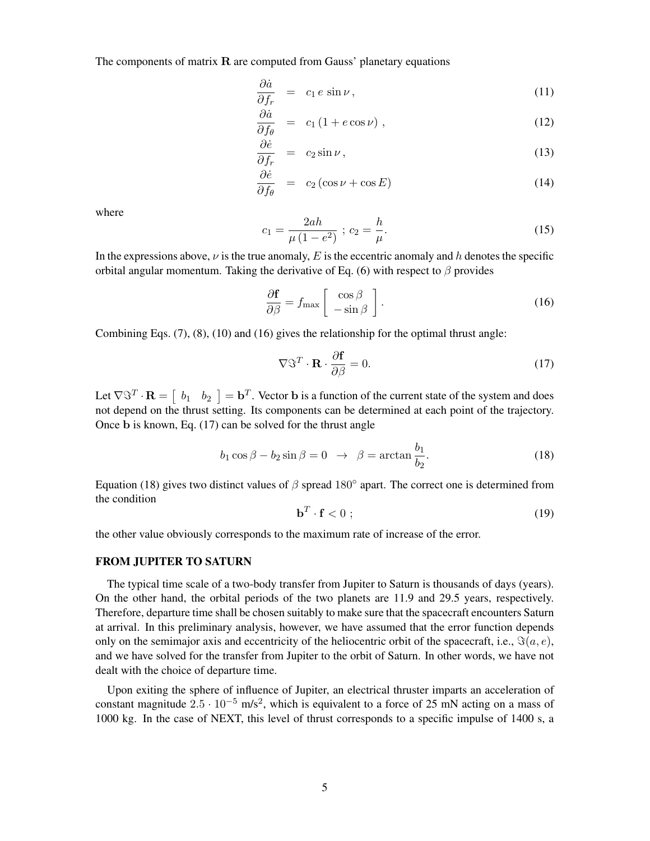The components of matrix  $\bf{R}$  are computed from Gauss' planetary equations

$$
\frac{\partial \dot{a}}{\partial f_r} = c_1 e \sin \nu, \qquad (11)
$$

$$
\frac{\partial \dot{a}}{\partial f_{\theta}} = c_1 \left( 1 + e \cos \nu \right), \tag{12}
$$

$$
\frac{\partial \dot{e}}{\partial f_r} = c_2 \sin \nu, \tag{13}
$$

$$
\frac{\partial \dot{e}}{\partial f_{\theta}} = c_2 (\cos \nu + \cos E) \tag{14}
$$

where

$$
c_1 = \frac{2ah}{\mu(1 - e^2)} \; ; \; c_2 = \frac{h}{\mu}.\tag{15}
$$

In the expressions above,  $\nu$  is the true anomaly, E is the eccentric anomaly and h denotes the specific orbital angular momentum. Taking the derivative of Eq. [\(6\)](#page-3-0) with respect to  $\beta$  provides

<span id="page-4-0"></span>
$$
\frac{\partial \mathbf{f}}{\partial \beta} = f_{\text{max}} \left[ \begin{array}{c} \cos \beta \\ -\sin \beta \end{array} \right]. \tag{16}
$$

Combining Eqs. [\(7\)](#page-3-1), [\(8\)](#page-3-2), [\(10\)](#page-3-3) and [\(16\)](#page-4-0) gives the relationship for the optimal thrust angle:

<span id="page-4-1"></span>
$$
\nabla \mathfrak{F}^T \cdot \mathbf{R} \cdot \frac{\partial \mathbf{f}}{\partial \beta} = 0.
$$
 (17)

Let  $\nabla \Im^T \cdot \mathbf{R} = \begin{bmatrix} b_1 & b_2 \end{bmatrix} = \mathbf{b}^T$ . Vector **b** is a function of the current state of the system and does not depend on the thrust setting. Its components can be determined at each point of the trajectory. Once b is known, Eq. [\(17\)](#page-4-1) can be solved for the thrust angle

<span id="page-4-2"></span>
$$
b_1 \cos \beta - b_2 \sin \beta = 0 \rightarrow \beta = \arctan \frac{b_1}{b_2}.
$$
 (18)

Equation [\(18\)](#page-4-2) gives two distinct values of  $\beta$  spread 180 $\degree$  apart. The correct one is determined from the condition

$$
\mathbf{b}^T \cdot \mathbf{f} < 0 \tag{19}
$$

the other value obviously corresponds to the maximum rate of increase of the error.

## FROM JUPITER TO SATURN

The typical time scale of a two-body transfer from Jupiter to Saturn is thousands of days (years). On the other hand, the orbital periods of the two planets are 11.9 and 29.5 years, respectively. Therefore, departure time shall be chosen suitably to make sure that the spacecraft encounters Saturn at arrival. In this preliminary analysis, however, we have assumed that the error function depends only on the semimajor axis and eccentricity of the heliocentric orbit of the spacecraft, i.e.,  $\Im(a, e)$ , and we have solved for the transfer from Jupiter to the orbit of Saturn. In other words, we have not dealt with the choice of departure time.

Upon exiting the sphere of influence of Jupiter, an electrical thruster imparts an acceleration of constant magnitude  $2.5 \cdot 10^{-5}$  m/s<sup>2</sup>, which is equivalent to a force of 25 mN acting on a mass of 1000 kg. In the case of NEXT, this level of thrust corresponds to a specific impulse of 1400 s, a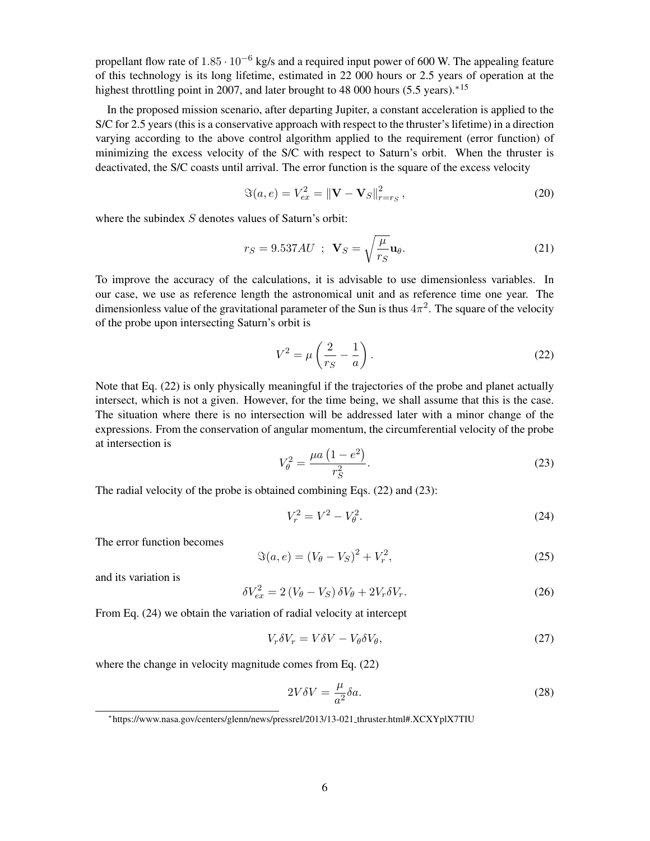propellant flow rate of  $1.85 \cdot 10^{-6}$  kg/s and a required input power of 600 W. The appealing feature of this technology is its long lifetime, estimated in 22 000 hours or 2.5 years of operation at the highest throttling point in 2007, and later brought to 48 000 hours (5.5 years).<sup>[∗](#page-5-0)[15](#page-9-14)</sup>

In the proposed mission scenario, after departing Jupiter, a constant acceleration is applied to the S/C for 2.5 years (this is a conservative approach with respect to the thruster's lifetime) in a direction varying according to the above control algorithm applied to the requirement (error function) of minimizing the excess velocity of the S/C with respect to Saturn's orbit. When the thruster is deactivated, the S/C coasts until arrival. The error function is the square of the excess velocity

$$
\Im(a, e) = V_{ex}^2 = ||\mathbf{V} - \mathbf{V}_S||_{r=r_S}^2, \qquad (20)
$$

where the subindex  $S$  denotes values of Saturn's orbit:

$$
r_S = 9.537AU \; ; \; \mathbf{V}_S = \sqrt{\frac{\mu}{r_S}} \mathbf{u}_\theta. \tag{21}
$$

To improve the accuracy of the calculations, it is advisable to use dimensionless variables. In our case, we use as reference length the astronomical unit and as reference time one year. The dimensionless value of the gravitational parameter of the Sun is thus  $4\pi^2$ . The square of the velocity of the probe upon intersecting Saturn's orbit is

<span id="page-5-1"></span>
$$
V^2 = \mu \left(\frac{2}{r_S} - \frac{1}{a}\right). \tag{22}
$$

Note that Eq. [\(22\)](#page-5-1) is only physically meaningful if the trajectories of the probe and planet actually intersect, which is not a given. However, for the time being, we shall assume that this is the case. The situation where there is no intersection will be addressed later with a minor change of the expressions. From the conservation of angular momentum, the circumferential velocity of the probe at intersection is

<span id="page-5-2"></span>
$$
V_{\theta}^{2} = \frac{\mu a (1 - e^{2})}{r_{S}^{2}}.
$$
 (23)

The radial velocity of the probe is obtained combining Eqs. [\(22\)](#page-5-1) and [\(23\)](#page-5-2):

<span id="page-5-3"></span>
$$
V_r^2 = V^2 - V_\theta^2. \tag{24}
$$

The error function becomes

$$
\Im(a, e) = (V_{\theta} - V_S)^2 + V_r^2,
$$
\n(25)

and its variation is

<span id="page-5-5"></span>
$$
\delta V_{ex}^2 = 2\left(V_\theta - V_S\right)\delta V_\theta + 2V_r\delta V_r. \tag{26}
$$

From Eq. [\(24\)](#page-5-3) we obtain the variation of radial velocity at intercept

<span id="page-5-4"></span>
$$
V_r \delta V_r = V \delta V - V_\theta \delta V_\theta, \tag{27}
$$

where the change in velocity magnitude comes from Eq. [\(22\)](#page-5-1)

$$
2V\delta V = \frac{\mu}{a^2}\delta a. \tag{28}
$$

<span id="page-5-0"></span><sup>∗</sup> https://www.nasa.gov/centers/glenn/news/pressrel/2013/13-021 thruster.html#.XCXYplX7TIU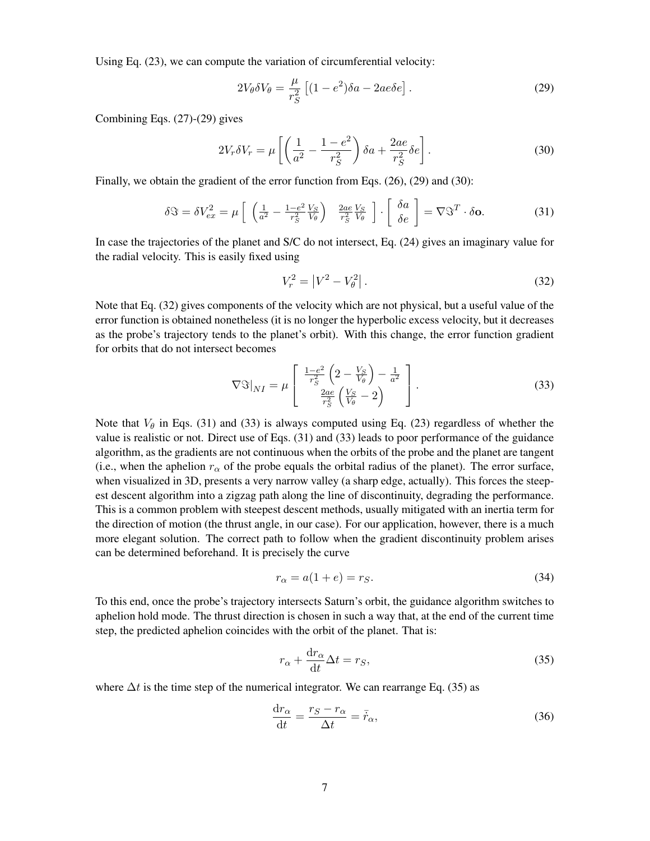Using Eq. [\(23\)](#page-5-2), we can compute the variation of circumferential velocity:

<span id="page-6-0"></span>
$$
2V_{\theta}\delta V_{\theta} = \frac{\mu}{r_S^2} \left[ (1 - e^2)\delta a - 2ae \delta e \right].
$$
 (29)

Combining Eqs. [\(27\)](#page-5-4)-[\(29\)](#page-6-0) gives

<span id="page-6-1"></span>
$$
2V_r \delta V_r = \mu \left[ \left( \frac{1}{a^2} - \frac{1 - e^2}{r_S^2} \right) \delta a + \frac{2ae}{r_S^2} \delta e \right].
$$
 (30)

Finally, we obtain the gradient of the error function from Eqs. [\(26\)](#page-5-5), [\(29\)](#page-6-0) and [\(30\)](#page-6-1):

<span id="page-6-3"></span>
$$
\delta \mathfrak{S} = \delta V_{ex}^2 = \mu \left[ \begin{array}{cc} \left( \frac{1}{a^2} - \frac{1 - e^2}{r_S^2} \frac{V_S}{V_\theta} \right) & \frac{2ae}{r_S^2} \frac{V_S}{V_\theta} \end{array} \right] \cdot \left[ \begin{array}{c} \delta a \\ \delta e \end{array} \right] = \nabla \mathfrak{S}^T \cdot \delta \mathbf{o}.
$$
 (31)

In case the trajectories of the planet and S/C do not intersect, Eq. [\(24\)](#page-5-3) gives an imaginary value for the radial velocity. This is easily fixed using

<span id="page-6-2"></span>
$$
V_r^2 = |V^2 - V_\theta^2| \,. \tag{32}
$$

Note that Eq. [\(32\)](#page-6-2) gives components of the velocity which are not physical, but a useful value of the error function is obtained nonetheless (it is no longer the hyperbolic excess velocity, but it decreases as the probe's trajectory tends to the planet's orbit). With this change, the error function gradient for orbits that do not intersect becomes

<span id="page-6-4"></span>
$$
\nabla \Im|_{NI} = \mu \left[ \begin{array}{c} \frac{1-e^2}{r_S^2} \left( 2 - \frac{V_S}{V_\theta} \right) - \frac{1}{a^2} \\ \frac{2ae}{r_S^2} \left( \frac{V_S}{V_\theta} - 2 \right) \end{array} \right]. \tag{33}
$$

Note that  $V_\theta$  in Eqs. [\(31\)](#page-6-3) and [\(33\)](#page-6-4) is always computed using Eq. [\(23\)](#page-5-2) regardless of whether the value is realistic or not. Direct use of Eqs. [\(31\)](#page-6-3) and [\(33\)](#page-6-4) leads to poor performance of the guidance algorithm, as the gradients are not continuous when the orbits of the probe and the planet are tangent (i.e., when the aphelion  $r_{\alpha}$  of the probe equals the orbital radius of the planet). The error surface, when visualized in 3D, presents a very narrow valley (a sharp edge, actually). This forces the steepest descent algorithm into a zigzag path along the line of discontinuity, degrading the performance. This is a common problem with steepest descent methods, usually mitigated with an inertia term for the direction of motion (the thrust angle, in our case). For our application, however, there is a much more elegant solution. The correct path to follow when the gradient discontinuity problem arises can be determined beforehand. It is precisely the curve

$$
r_{\alpha} = a(1+e) = r_S. \tag{34}
$$

To this end, once the probe's trajectory intersects Saturn's orbit, the guidance algorithm switches to aphelion hold mode. The thrust direction is chosen in such a way that, at the end of the current time step, the predicted aphelion coincides with the orbit of the planet. That is:

<span id="page-6-5"></span>
$$
r_{\alpha} + \frac{\mathrm{d}r_{\alpha}}{\mathrm{d}t} \Delta t = r_S,\tag{35}
$$

where  $\Delta t$  is the time step of the numerical integrator. We can rearrange Eq. [\(35\)](#page-6-5) as

$$
\frac{\mathrm{d}r_{\alpha}}{\mathrm{d}t} = \frac{r_S - r_{\alpha}}{\Delta t} = \bar{r}_{\alpha},\tag{36}
$$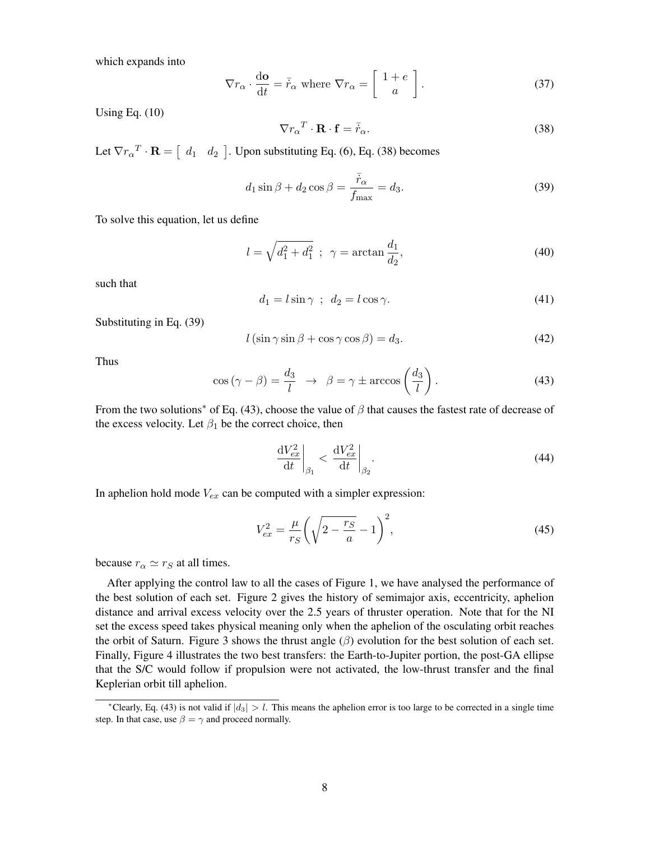which expands into

$$
\nabla r_{\alpha} \cdot \frac{\mathrm{d}\mathbf{o}}{\mathrm{d}t} = \bar{r}_{\alpha} \text{ where } \nabla r_{\alpha} = \begin{bmatrix} 1+e \\ a \end{bmatrix}.
$$
 (37)

Using Eq. [\(10\)](#page-3-3)

<span id="page-7-0"></span>
$$
\nabla r_{\alpha}{}^{T} \cdot \mathbf{R} \cdot \mathbf{f} = \bar{r}_{\alpha}.
$$
 (38)

Let  $\nabla r_\alpha^T \cdot \mathbf{R} = \left[ \begin{array}{cc} d_1 & d_2 \end{array} \right]$ . Upon substituting Eq. [\(6\)](#page-3-0), Eq. [\(38\)](#page-7-0) becomes

<span id="page-7-1"></span>
$$
d_1 \sin \beta + d_2 \cos \beta = \frac{\bar{r}_{\alpha}}{f_{\text{max}}} = d_3. \tag{39}
$$

To solve this equation, let us define

$$
l = \sqrt{d_1^2 + d_1^2} \; ; \; \gamma = \arctan \frac{d_1}{d_2}, \tag{40}
$$

such that

$$
d_1 = l\sin\gamma \, ; \, d_2 = l\cos\gamma. \tag{41}
$$

Substituting in Eq. [\(39\)](#page-7-1)

$$
l\left(\sin\gamma\sin\beta + \cos\gamma\cos\beta\right) = d_3. \tag{42}
$$

Thus

<span id="page-7-3"></span>
$$
\cos\left(\gamma - \beta\right) = \frac{d_3}{l} \rightarrow \beta = \gamma \pm \arccos\left(\frac{d_3}{l}\right). \tag{43}
$$

From the two solutions<sup>\*</sup> of Eq. [\(43\)](#page-7-3), choose the value of  $\beta$  that causes the fastest rate of decrease of the excess velocity. Let  $\beta_1$  be the correct choice, then

$$
\left. \frac{\mathrm{d}V_{ex}^2}{\mathrm{d}t} \right|_{\beta_1} < \left. \frac{\mathrm{d}V_{ex}^2}{\mathrm{d}t} \right|_{\beta_2} . \tag{44}
$$

In aphelion hold mode  $V_{ex}$  can be computed with a simpler expression:

$$
V_{ex}^{2} = \frac{\mu}{r_{S}} \left( \sqrt{2 - \frac{r_{S}}{a}} - 1 \right)^{2},
$$
\n(45)

because  $r_{\alpha} \simeq r_S$  at all times.

After applying the control law to all the cases of Figure [1,](#page-10-0) we have analysed the performance of the best solution of each set. Figure [2](#page-11-0) gives the history of semimajor axis, eccentricity, aphelion distance and arrival excess velocity over the 2.5 years of thruster operation. Note that for the NI set the excess speed takes physical meaning only when the aphelion of the osculating orbit reaches the orbit of Saturn. Figure [3](#page-12-0) shows the thrust angle  $(\beta)$  evolution for the best solution of each set. Finally, Figure [4](#page-13-0) illustrates the two best transfers: the Earth-to-Jupiter portion, the post-GA ellipse that the S/C would follow if propulsion were not activated, the low-thrust transfer and the final Keplerian orbit till aphelion.

<span id="page-7-2"></span><sup>&</sup>lt;sup>\*</sup>Clearly, Eq. [\(43\)](#page-7-3) is not valid if  $|d_3| > l$ . This means the aphelion error is too large to be corrected in a single time step. In that case, use  $\beta = \gamma$  and proceed normally.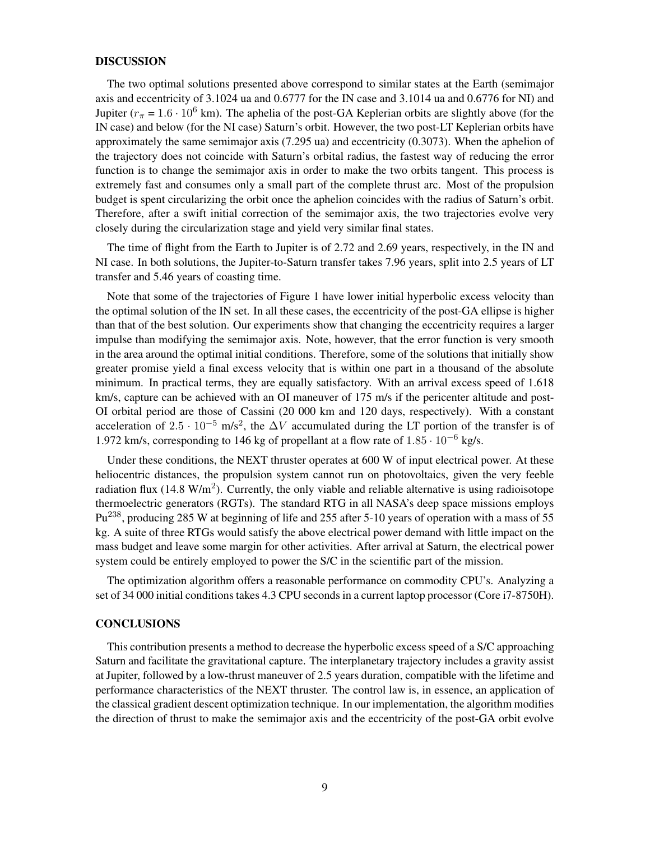#### DISCUSSION

The two optimal solutions presented above correspond to similar states at the Earth (semimajor axis and eccentricity of 3.1024 ua and 0.6777 for the IN case and 3.1014 ua and 0.6776 for NI) and Jupiter ( $r_{\pi}$  = 1.6 · 10<sup>6</sup> km). The aphelia of the post-GA Keplerian orbits are slightly above (for the IN case) and below (for the NI case) Saturn's orbit. However, the two post-LT Keplerian orbits have approximately the same semimajor axis (7.295 ua) and eccentricity (0.3073). When the aphelion of the trajectory does not coincide with Saturn's orbital radius, the fastest way of reducing the error function is to change the semimajor axis in order to make the two orbits tangent. This process is extremely fast and consumes only a small part of the complete thrust arc. Most of the propulsion budget is spent circularizing the orbit once the aphelion coincides with the radius of Saturn's orbit. Therefore, after a swift initial correction of the semimajor axis, the two trajectories evolve very closely during the circularization stage and yield very similar final states.

The time of flight from the Earth to Jupiter is of 2.72 and 2.69 years, respectively, in the IN and NI case. In both solutions, the Jupiter-to-Saturn transfer takes 7.96 years, split into 2.5 years of LT transfer and 5.46 years of coasting time.

Note that some of the trajectories of Figure [1](#page-10-0) have lower initial hyperbolic excess velocity than the optimal solution of the IN set. In all these cases, the eccentricity of the post-GA ellipse is higher than that of the best solution. Our experiments show that changing the eccentricity requires a larger impulse than modifying the semimajor axis. Note, however, that the error function is very smooth in the area around the optimal initial conditions. Therefore, some of the solutions that initially show greater promise yield a final excess velocity that is within one part in a thousand of the absolute minimum. In practical terms, they are equally satisfactory. With an arrival excess speed of 1.618 km/s, capture can be achieved with an OI maneuver of 175 m/s if the pericenter altitude and post-OI orbital period are those of Cassini (20 000 km and 120 days, respectively). With a constant acceleration of 2.5  $\cdot$  10<sup>-5</sup> m/s<sup>2</sup>, the  $\Delta V$  accumulated during the LT portion of the transfer is of 1.972 km/s, corresponding to 146 kg of propellant at a flow rate of  $1.85 \cdot 10^{-6}$  kg/s.

Under these conditions, the NEXT thruster operates at 600 W of input electrical power. At these heliocentric distances, the propulsion system cannot run on photovoltaics, given the very feeble radiation flux (14.8 W/m<sup>2</sup>). Currently, the only viable and reliable alternative is using radioisotope thermoelectric generators (RGTs). The standard RTG in all NASA's deep space missions employs Pu<sup>238</sup>, producing 285 W at beginning of life and 255 after 5-10 years of operation with a mass of 55 kg. A suite of three RTGs would satisfy the above electrical power demand with little impact on the mass budget and leave some margin for other activities. After arrival at Saturn, the electrical power system could be entirely employed to power the S/C in the scientific part of the mission.

The optimization algorithm offers a reasonable performance on commodity CPU's. Analyzing a set of 34 000 initial conditions takes 4.3 CPU seconds in a current laptop processor (Core i7-8750H).

## **CONCLUSIONS**

This contribution presents a method to decrease the hyperbolic excess speed of a S/C approaching Saturn and facilitate the gravitational capture. The interplanetary trajectory includes a gravity assist at Jupiter, followed by a low-thrust maneuver of 2.5 years duration, compatible with the lifetime and performance characteristics of the NEXT thruster. The control law is, in essence, an application of the classical gradient descent optimization technique. In our implementation, the algorithm modifies the direction of thrust to make the semimajor axis and the eccentricity of the post-GA orbit evolve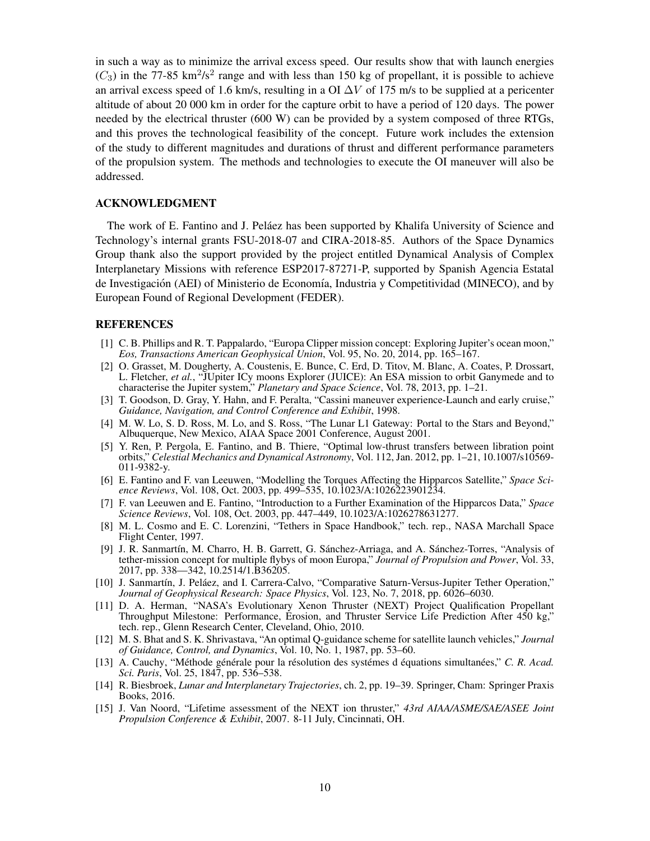in such a way as to minimize the arrival excess speed. Our results show that with launch energies  $(C_3)$  in the 77-85 km<sup>2</sup>/s<sup>2</sup> range and with less than 150 kg of propellant, it is possible to achieve an arrival excess speed of 1.6 km/s, resulting in a OI  $\Delta V$  of 175 m/s to be supplied at a pericenter altitude of about 20 000 km in order for the capture orbit to have a period of 120 days. The power needed by the electrical thruster (600 W) can be provided by a system composed of three RTGs, and this proves the technological feasibility of the concept. Future work includes the extension of the study to different magnitudes and durations of thrust and different performance parameters of the propulsion system. The methods and technologies to execute the OI maneuver will also be addressed.

## ACKNOWLEDGMENT

The work of E. Fantino and J. Pelaez has been supported by Khalifa University of Science and Technology's internal grants FSU-2018-07 and CIRA-2018-85. Authors of the Space Dynamics Group thank also the support provided by the project entitled Dynamical Analysis of Complex Interplanetary Missions with reference ESP2017-87271-P, supported by Spanish Agencia Estatal de Investigación (AEI) of Ministerio de Economía, Industria y Competitividad (MINECO), and by European Found of Regional Development (FEDER).

## **REFERENCES**

- <span id="page-9-0"></span>[1] C. B. Phillips and R. T. Pappalardo, "Europa Clipper mission concept: Exploring Jupiter's ocean moon," *Eos, Transactions American Geophysical Union*, Vol. 95, No. 20, 2014, pp. 165–167.
- <span id="page-9-1"></span>[2] O. Grasset, M. Dougherty, A. Coustenis, E. Bunce, C. Erd, D. Titov, M. Blanc, A. Coates, P. Drossart, L. Fletcher, *et al.*, "JUpiter ICy moons Explorer (JUICE): An ESA mission to orbit Ganymede and to characterise the Jupiter system," *Planetary and Space Science*, Vol. 78, 2013, pp. 1–21.
- <span id="page-9-2"></span>[3] T. Goodson, D. Gray, Y. Hahn, and F. Peralta, "Cassini maneuver experience-Launch and early cruise," *Guidance, Navigation, and Control Conference and Exhibit*, 1998.
- <span id="page-9-3"></span>[4] M. W. Lo, S. D. Ross, M. Lo, and S. Ross, "The Lunar L1 Gateway: Portal to the Stars and Beyond," Albuquerque, New Mexico, AIAA Space 2001 Conference, August 2001.
- <span id="page-9-4"></span>[5] Y. Ren, P. Pergola, E. Fantino, and B. Thiere, "Optimal low-thrust transfers between libration point orbits," *Celestial Mechanics and Dynamical Astronomy*, Vol. 112, Jan. 2012, pp. 1–21, 10.1007/s10569- 011-9382-y.
- <span id="page-9-5"></span>[6] E. Fantino and F. van Leeuwen, "Modelling the Torques Affecting the Hipparcos Satellite," *Space Science Reviews*, Vol. 108, Oct. 2003, pp. 499–535, 10.1023/A:1026223901234.
- <span id="page-9-6"></span>[7] F. van Leeuwen and E. Fantino, "Introduction to a Further Examination of the Hipparcos Data," *Space Science Reviews*, Vol. 108, Oct. 2003, pp. 447–449, 10.1023/A:1026278631277.
- <span id="page-9-7"></span>[8] M. L. Cosmo and E. C. Lorenzini, "Tethers in Space Handbook," tech. rep., NASA Marchall Space Flight Center, 1997.
- <span id="page-9-8"></span>[9] J. R. Sanmartín, M. Charro, H. B. Garrett, G. Sánchez-Arriaga, and A. Sánchez-Torres, "Analysis of tether-mission concept for multiple flybys of moon Europa," *Journal of Propulsion and Power*, Vol. 33, 2017, pp. 338—342, 10.2514/1.B36205.
- <span id="page-9-9"></span>[10] J. Sanmartín, J. Peláez, and I. Carrera-Calvo, "Comparative Saturn-Versus-Jupiter Tether Operation," *Journal of Geophysical Research: Space Physics*, Vol. 123, No. 7, 2018, pp. 6026–6030.
- <span id="page-9-10"></span>[11] D. A. Herman, "NASA's Evolutionary Xenon Thruster (NEXT) Project Qualification Propellant Throughput Milestone: Performance, Erosion, and Thruster Service Life Prediction After 450 kg," tech. rep., Glenn Research Center, Cleveland, Ohio, 2010.
- <span id="page-9-11"></span>[12] M. S. Bhat and S. K. Shrivastava, "An optimal Q-guidance scheme for satellite launch vehicles," *Journal of Guidance, Control, and Dynamics*, Vol. 10, No. 1, 1987, pp. 53–60.
- <span id="page-9-12"></span>[13] A. Cauchy, "Méthode générale pour la résolution des systémes d'équations simultanées," C. R. Acad. *Sci. Paris*, Vol. 25, 1847, pp. 536–538.
- <span id="page-9-13"></span>[14] R. Biesbroek, *Lunar and Interplanetary Trajectories*, ch. 2, pp. 19–39. Springer, Cham: Springer Praxis Books, 2016.
- <span id="page-9-14"></span>[15] J. Van Noord, "Lifetime assessment of the NEXT ion thruster," *43rd AIAA/ASME/SAE/ASEE Joint Propulsion Conference & Exhibit*, 2007. 8-11 July, Cincinnati, OH.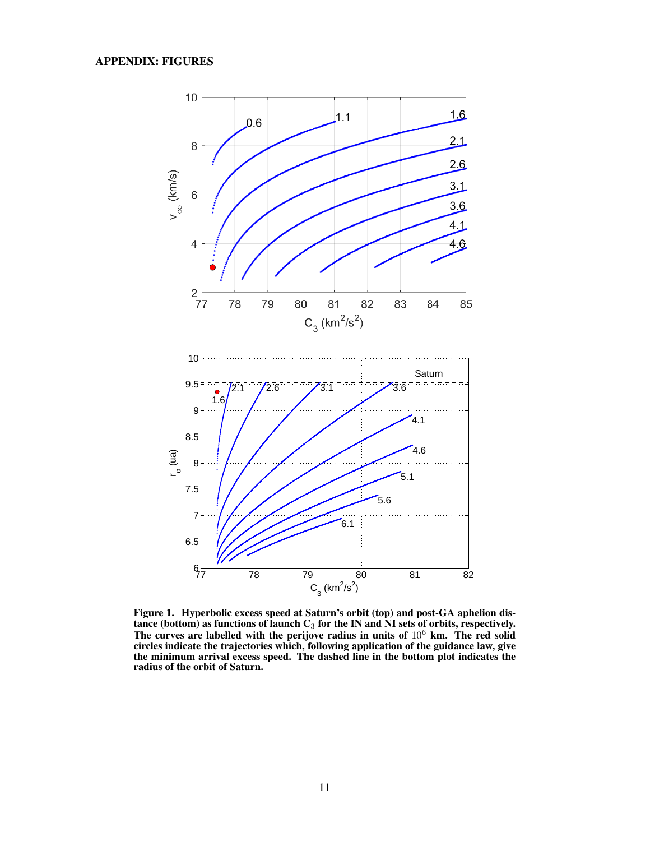

<span id="page-10-0"></span>Figure 1. Hyperbolic excess speed at Saturn's orbit (top) and post-GA aphelion distance (bottom) as functions of launch  $\mathbf{C}_3$  for the IN and NI sets of orbits, respectively. The curves are labelled with the perijove radius in units of  $10^6$  km. The red solid circles indicate the trajectories which, following application of the guidance law, give the minimum arrival excess speed. The dashed line in the bottom plot indicates the radius of the orbit of Saturn.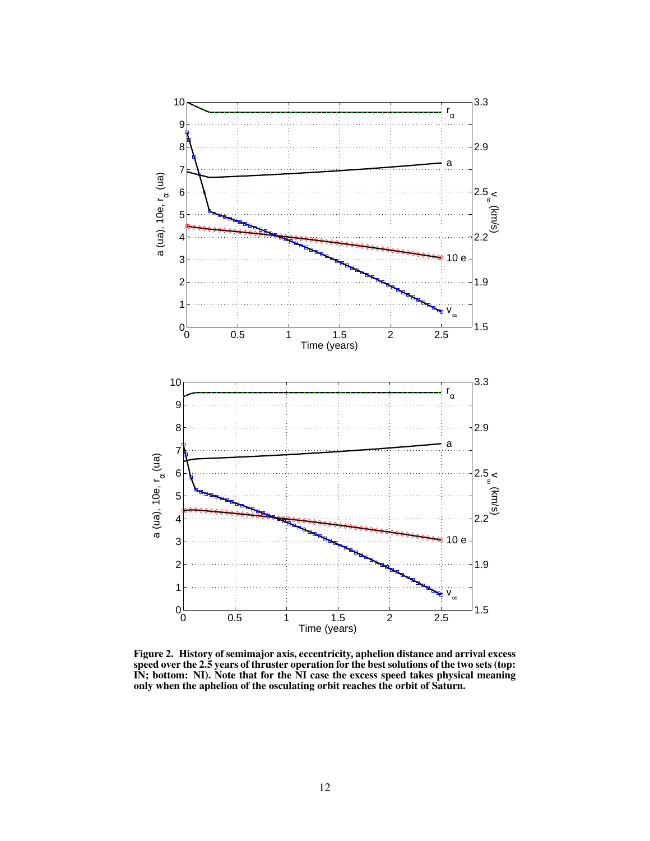

<span id="page-11-0"></span>Figure 2. History of semimajor axis, eccentricity, aphelion distance and arrival excess speed over the 2.5 years of thruster operation for the best solutions of the two sets (top: IN; bottom: NI). Note that for the NI case the excess speed takes physical meaning only when the aphelion of the osculating orbit reaches the orbit of Saturn.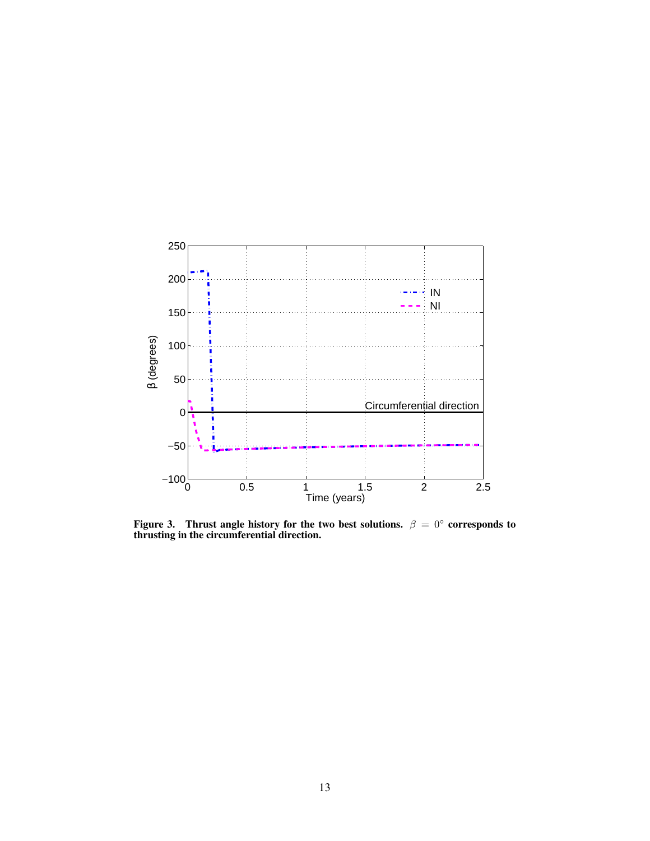

<span id="page-12-0"></span>Figure 3. Thrust angle history for the two best solutions.  $\beta = 0^{\circ}$  corresponds to thrusting in the circumferential direction.